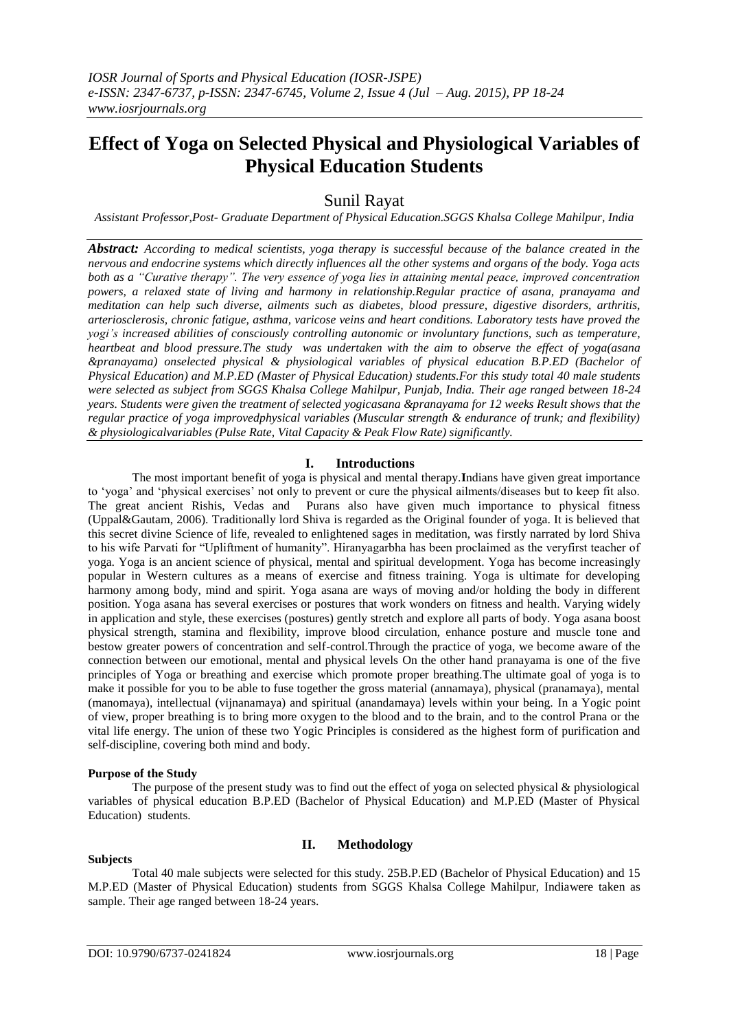# **Effect of Yoga on Selected Physical and Physiological Variables of Physical Education Students**

# Sunil Rayat

*Assistant Professor,Post- Graduate Department of Physical Education.SGGS Khalsa College Mahilpur, India*

*Abstract: According to medical scientists, yoga therapy is successful because of the balance created in the nervous and endocrine systems which directly influences all the other systems and organs of the body. Yoga acts both as a "Curative therapy". The very essence of yoga lies in attaining mental peace, improved concentration powers, a relaxed state of living and harmony in relationship.Regular practice of asana, pranayama and meditation can help such diverse, ailments such as diabetes, blood pressure, digestive disorders, arthritis, arteriosclerosis, chronic fatigue, asthma, varicose veins and heart conditions. Laboratory tests have proved the yogi's increased abilities of consciously controlling autonomic or involuntary functions, such as temperature, heartbeat and blood pressure.The study was undertaken with the aim to observe the effect of yoga(asana &pranayama) onselected physical & physiological variables of physical education B.P.ED (Bachelor of Physical Education) and M.P.ED (Master of Physical Education) students.For this study total 40 male students were selected as subject from SGGS Khalsa College Mahilpur, Punjab, India. Their age ranged between 18-24 years. Students were given the treatment of selected yogicasana &pranayama for 12 weeks Result shows that the regular practice of yoga improvedphysical variables (Muscular strength & endurance of trunk; and flexibility) & physiologicalvariables (Pulse Rate, Vital Capacity & Peak Flow Rate) significantly.*

# **I. Introductions**

The most important benefit of yoga is physical and mental therapy.**I**ndians have given great importance to "yoga" and "physical exercises" not only to prevent or cure the physical ailments/diseases but to keep fit also. The great ancient Rishis, Vedas and Purans also have given much importance to physical fitness (Uppal&Gautam, 2006). Traditionally lord Shiva is regarded as the Original founder of yoga. It is believed that this secret divine Science of life, revealed to enlightened sages in meditation, was firstly narrated by lord Shiva to his wife Parvati for "Upliftment of humanity". Hiranyagarbha has been proclaimed as the veryfirst teacher of yoga. Yoga is an ancient science of physical, mental and spiritual development. Yoga has become increasingly popular in Western cultures as a means of exercise and fitness training. Yoga is ultimate for developing harmony among body, mind and spirit. Yoga asana are ways of moving and/or holding the body in different position. Yoga asana has several exercises or postures that work wonders on fitness and health. Varying widely in application and style, these exercises (postures) gently stretch and explore all parts of body. Yoga asana boost physical strength, stamina and flexibility, improve blood circulation, enhance posture and muscle tone and bestow greater powers of concentration and self-control.Through the practice of yoga, we become aware of the connection between our emotional, mental and physical levels On the other hand pranayama is one of the five principles of Yoga or breathing and exercise which promote proper breathing.The ultimate goal of yoga is to make it possible for you to be able to fuse together the gross material (annamaya), physical (pranamaya), mental (manomaya), intellectual (vijnanamaya) and spiritual (anandamaya) levels within your being. In a Yogic point of view, proper breathing is to bring more oxygen to the blood and to the brain, and to the control Prana or the vital life energy. The union of these two Yogic Principles is considered as the highest form of purification and self-discipline, covering both mind and body.

#### **Purpose of the Study**

The purpose of the present study was to find out the effect of yoga on selected physical & physiological variables of physical education B.P.ED (Bachelor of Physical Education) and M.P.ED (Master of Physical Education) students.

#### **Subjects**

# **II. Methodology**

Total 40 male subjects were selected for this study. 25B.P.ED (Bachelor of Physical Education) and 15 M.P.ED (Master of Physical Education) students from SGGS Khalsa College Mahilpur, Indiawere taken as sample. Their age ranged between 18-24 years.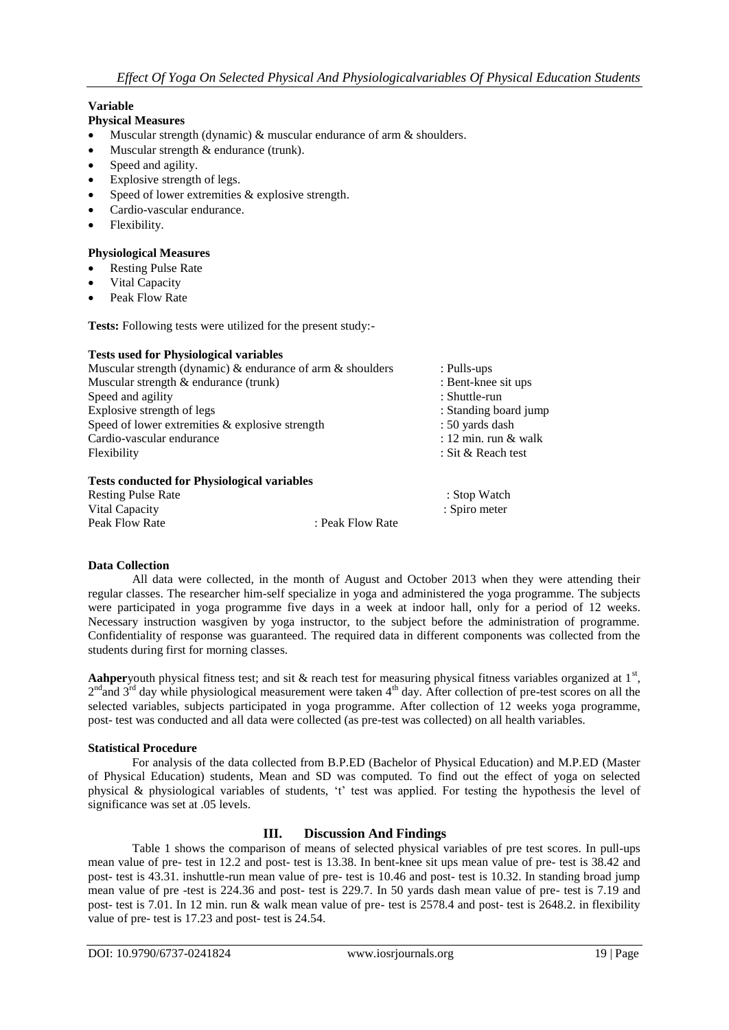# **Variable**

## **Physical Measures**

- Muscular strength (dynamic) & muscular endurance of arm & shoulders.
- Muscular strength & endurance (trunk).
- Speed and agility.
- Explosive strength of legs.
- Speed of lower extremities & explosive strength.
- Cardio-vascular endurance.
- Flexibility.

#### **Physiological Measures**

- Resting Pulse Rate
- Vital Capacity
- Peak Flow Rate

**Tests:** Following tests were utilized for the present study:-

#### **Tests used for Physiological variables**

| Muscular strength (dynamic) $\&$ endurance of arm $\&$ shoulders | : Pulls-ups            |
|------------------------------------------------------------------|------------------------|
| Muscular strength $\&$ endurance (trunk)                         | : Bent-knee sit ups    |
| Speed and agility                                                | : Shuttle-run          |
| Explosive strength of legs                                       | : Standing board jump  |
| Speed of lower extremities $\&$ explosive strength               | : 50 yards dash        |
| Cardio-vascular endurance                                        | : 12 min. run $&$ walk |
| Flexibility                                                      | : Sit & Reach test     |
| Tests conducted for Physiological variables                      |                        |

#### **Tests conducted for Physiological variables**

| <b>Resting Pulse Rate</b> |  |                  | : Stop Watch  |
|---------------------------|--|------------------|---------------|
| Vital Capacity            |  |                  | : Spiro meter |
| Peak Flow Rate            |  | : Peak Flow Rate |               |

# **Data Collection**

All data were collected, in the month of August and October 2013 when they were attending their regular classes. The researcher him-self specialize in yoga and administered the yoga programme. The subjects were participated in yoga programme five days in a week at indoor hall, only for a period of 12 weeks. Necessary instruction wasgiven by yoga instructor, to the subject before the administration of programme. Confidentiality of response was guaranteed. The required data in different components was collected from the students during first for morning classes.

Aahperyouth physical fitness test; and sit  $\&$  reach test for measuring physical fitness variables organized at  $1<sup>st</sup>$ ,  $2<sup>nd</sup>$  and  $3<sup>rd</sup>$  day while physiological measurement were taken  $4<sup>th</sup>$  day. After collection of pre-test scores on all the selected variables, subjects participated in yoga programme. After collection of 12 weeks yoga programme, post- test was conducted and all data were collected (as pre-test was collected) on all health variables.

#### **Statistical Procedure**

For analysis of the data collected from B.P.ED (Bachelor of Physical Education) and M.P.ED (Master of Physical Education) students, Mean and SD was computed. To find out the effect of yoga on selected physical & physiological variables of students, "t" test was applied. For testing the hypothesis the level of significance was set at .05 levels.

# **III. Discussion And Findings**

Table 1 shows the comparison of means of selected physical variables of pre test scores. In pull-ups mean value of pre- test in 12.2 and post- test is 13.38. In bent-knee sit ups mean value of pre- test is 38.42 and post- test is 43.31. inshuttle-run mean value of pre- test is 10.46 and post- test is 10.32. In standing broad jump mean value of pre -test is 224.36 and post- test is 229.7. In 50 yards dash mean value of pre- test is 7.19 and post- test is 7.01. In 12 min. run & walk mean value of pre- test is 2578.4 and post- test is 2648.2. in flexibility value of pre- test is 17.23 and post- test is 24.54.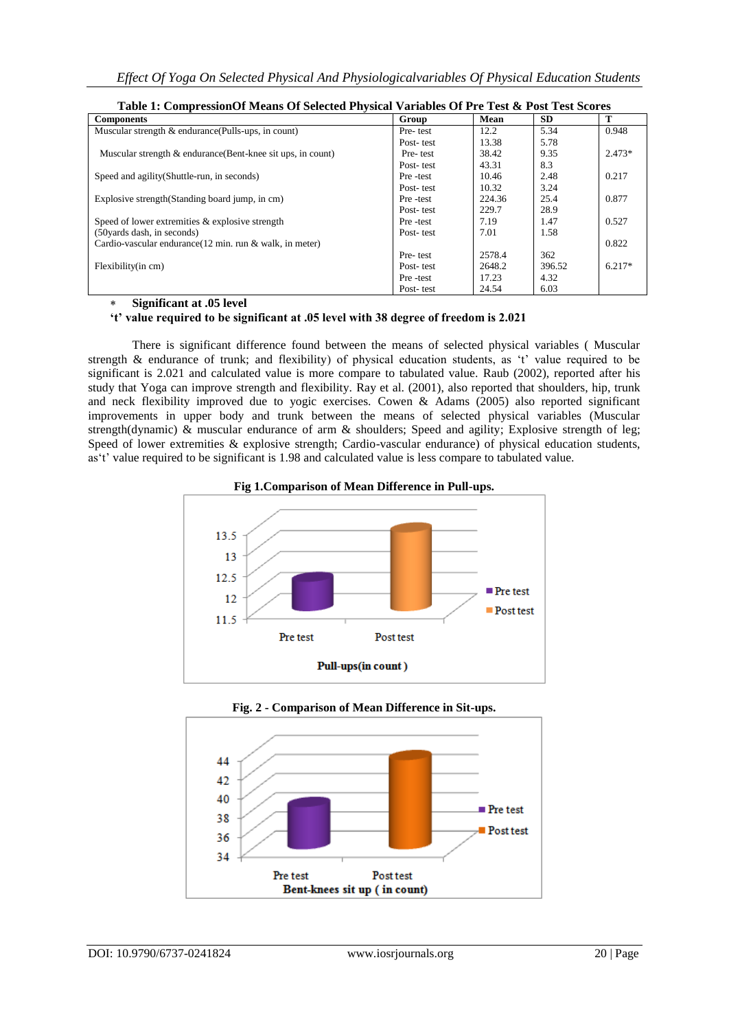| Table 1. Compression of means of science I hysical variables of FTC Test <b>&amp;</b> I use feet scores |           |        |           |          |
|---------------------------------------------------------------------------------------------------------|-----------|--------|-----------|----------|
| <b>Components</b>                                                                                       | Group     | Mean   | <b>SD</b> | т        |
| Muscular strength & endurance (Pulls-ups, in count)                                                     | Pre-test  | 12.2   | 5.34      | 0.948    |
|                                                                                                         | Post-test | 13.38  | 5.78      |          |
| Muscular strength & endurance (Bent-knee sit ups, in count)                                             | Pre-test  | 38.42  | 9.35      | $2.473*$ |
|                                                                                                         | Post-test | 43.31  | 8.3       |          |
| Speed and agility (Shuttle-run, in seconds)                                                             | Pre-test  | 10.46  | 2.48      | 0.217    |
|                                                                                                         | Post-test | 10.32  | 3.24      |          |
| Explosive strength (Standing board jump, in cm)                                                         | Pre-test  | 224.36 | 25.4      | 0.877    |
|                                                                                                         | Post-test | 229.7  | 28.9      |          |
| Speed of lower extremities & explosive strength                                                         | Pre-test  | 7.19   | 1.47      | 0.527    |
| (50 yards dash, in seconds)                                                                             | Post-test | 7.01   | 1.58      |          |
| Cardio-vascular endurance (12 min. run & walk, in meter)                                                |           |        |           | 0.822    |
|                                                                                                         | Pre-test  | 2578.4 | 362       |          |
| Flexibility(in cm)                                                                                      | Post-test | 2648.2 | 396.52    | $6.217*$ |
|                                                                                                         | Pre-test  | 17.23  | 4.32      |          |
|                                                                                                         | Post-test | 24.54  | 6.03      |          |

|  | Table 1: Compression Of Means Of Selected Physical Variables Of Pre Test & Post Test Scores |  |  |
|--|---------------------------------------------------------------------------------------------|--|--|
|  |                                                                                             |  |  |

#### **Significant at .05 level**

# **'t' value required to be significant at .05 level with 38 degree of freedom is 2.021**

There is significant difference found between the means of selected physical variables ( Muscular strength  $\&$  endurance of trunk; and flexibility) of physical education students, as 't' value required to be significant is 2.021 and calculated value is more compare to tabulated value. Raub (2002), reported after his study that Yoga can improve strength and flexibility. Ray et al. (2001), also reported that shoulders, hip, trunk and neck flexibility improved due to yogic exercises. Cowen & Adams (2005) also reported significant improvements in upper body and trunk between the means of selected physical variables (Muscular strength(dynamic) & muscular endurance of arm & shoulders; Speed and agility; Explosive strength of leg; Speed of lower extremities & explosive strength; Cardio-vascular endurance) of physical education students, as"t" value required to be significant is 1.98 and calculated value is less compare to tabulated value.





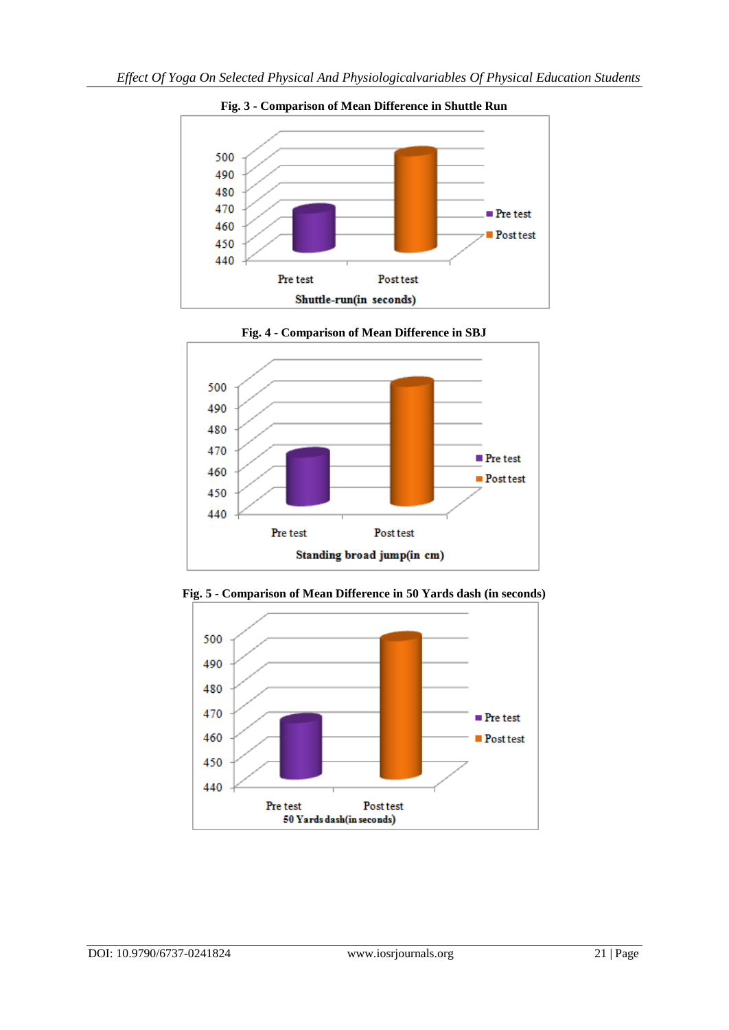

**Fig. 3 - Comparison of Mean Difference in Shuttle Run**



**Fig. 4 - Comparison of Mean Difference in SBJ**



**Fig. 5 - Comparison of Mean Difference in 50 Yards dash (in seconds)**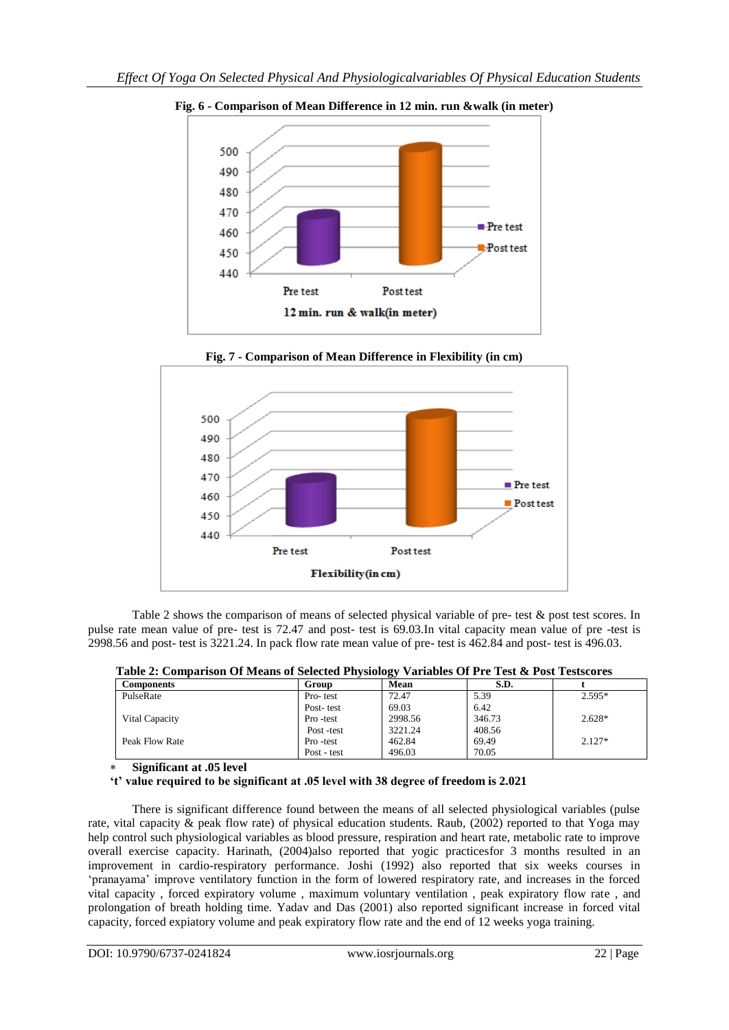

**Fig. 6 - Comparison of Mean Difference in 12 min. run &walk (in meter)**



**Fig. 7 - Comparison of Mean Difference in Flexibility (in cm)**

Table 2 shows the comparison of means of selected physical variable of pre- test & post test scores. In pulse rate mean value of pre- test is 72.47 and post- test is 69.03.In vital capacity mean value of pre -test is 2998.56 and post- test is 3221.24. In pack flow rate mean value of pre- test is 462.84 and post- test is 496.03.

**Table 2: Comparison Of Means of Selected Physiology Variables Of Pre Test & Post Testscores**

| Components     | Group       | ⊷<br>Mean | S.D.   |          |
|----------------|-------------|-----------|--------|----------|
| PulseRate      | Pro-test    | 72.47     | 5.39   | $2.595*$ |
|                | Post-test   | 69.03     | 6.42   |          |
| Vital Capacity | Pro -test   | 2998.56   | 346.73 | $2.628*$ |
|                | Post-test   | 3221.24   | 408.56 |          |
| Peak Flow Rate | Pro -test   | 462.84    | 69.49  | $2.127*$ |
|                | Post - test | 496.03    | 70.05  |          |

**Significant at .05 level**

**'t' value required to be significant at .05 level with 38 degree of freedom is 2.021**

There is significant difference found between the means of all selected physiological variables (pulse rate, vital capacity & peak flow rate) of physical education students. Raub, (2002) reported to that Yoga may help control such physiological variables as blood pressure, respiration and heart rate, metabolic rate to improve overall exercise capacity. Harinath, (2004)also reported that yogic practicesfor 3 months resulted in an improvement in cardio-respiratory performance. Joshi (1992) also reported that six weeks courses in "pranayama" improve ventilatory function in the form of lowered respiratory rate, and increases in the forced vital capacity , forced expiratory volume , maximum voluntary ventilation , peak expiratory flow rate , and prolongation of breath holding time. Yadav and Das (2001) also reported significant increase in forced vital capacity, forced expiatory volume and peak expiratory flow rate and the end of 12 weeks yoga training.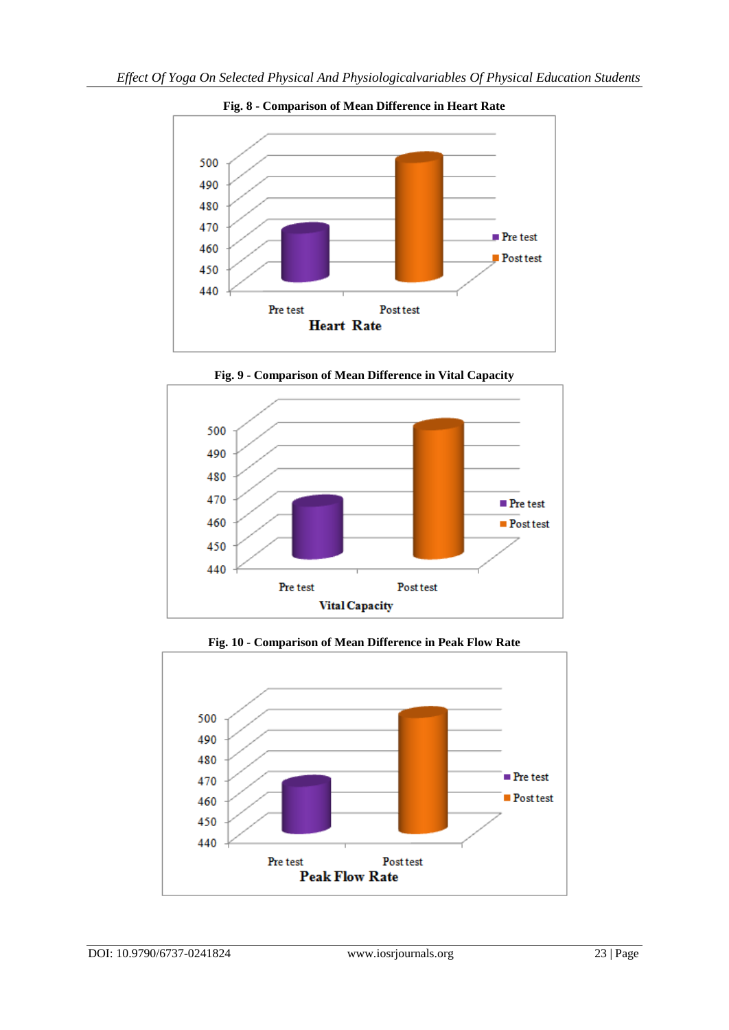

**Fig. 8 - Comparison of Mean Difference in Heart Rate**



**Fig. 9 - Comparison of Mean Difference in Vital Capacity**



**Fig. 10 - Comparison of Mean Difference in Peak Flow Rate**